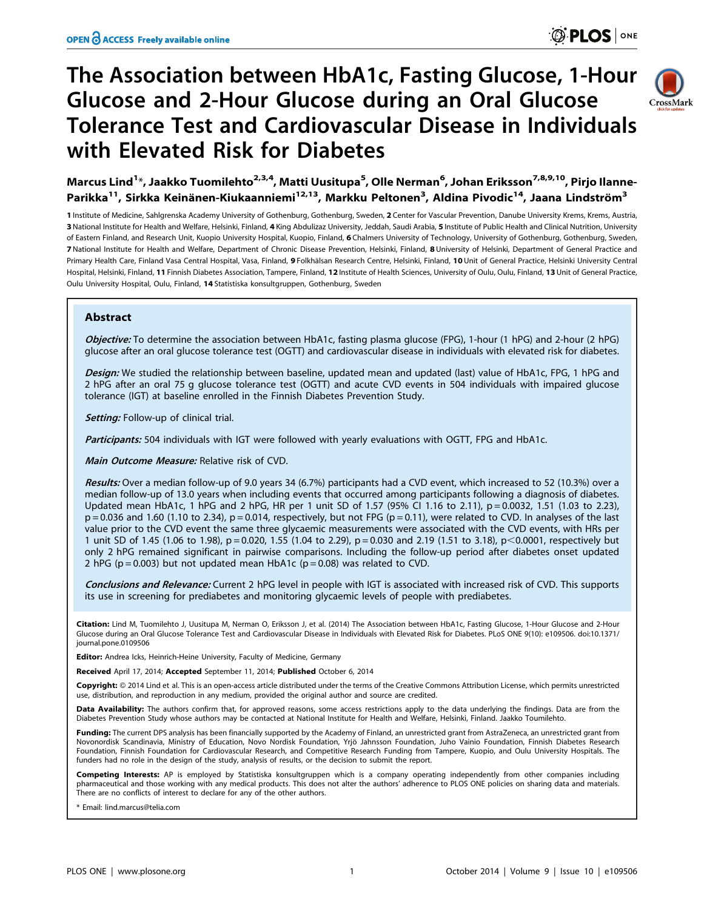# The Association between HbA1c, Fasting Glucose, 1-Hour Glucose and 2-Hour Glucose during an Oral Glucose Tolerance Test and Cardiovascular Disease in Individuals with Elevated Risk for Diabetes



Marcus Lind<sup>1</sup>\*, Jaakko Tuomilehto<sup>2,3,4</sup>, Matti Uusitupa<sup>5</sup>, Olle Nerman<sup>6</sup>, Johan Eriksson<sup>7,8,9,10</sup>, Pirjo Ilanne-Parikka<sup>11</sup>, Sirkka Keinänen-Kiukaanniemi<sup>12,13</sup>, Markku Peltonen<sup>3</sup>, Aldina Pivodic<sup>14</sup>, Jaana Lindström<sup>3</sup>

1 Institute of Medicine, Sahlgrenska Academy University of Gothenburg, Gothenburg, Sweden, 2 Center for Vascular Prevention, Danube University Krems, Krems, Austria, 3 National Institute for Health and Welfare, Helsinki, Finland, 4 King Abdulizaz University, Jeddah, Saudi Arabia, 5 Institute of Public Health and Clinical Nutrition, University of Eastern Finland, and Research Unit, Kuopio University Hospital, Kuopio, Finland, 6 Chalmers University of Technology, University of Gothenburg, Gothenburg, Sweden, 7 National Institute for Health and Welfare, Department of Chronic Disease Prevention, Helsinki, Finland, 8 University of Helsinki, Department of General Practice and Primary Health Care, Finland Vasa Central Hospital, Vasa, Finland, 9 Folkhälsan Research Centre, Helsinki, Finland, 10 Unit of General Practice, Helsinki University Central Hospital, Helsinki, Finland, 11 Finnish Diabetes Association, Tampere, Finland, 12 Institute of Health Sciences, University of Oulu, Oulu, Finland, 13 Unit of General Practice, Oulu University Hospital, Oulu, Finland, 14 Statistiska konsultgruppen, Gothenburg, Sweden

# Abstract

Objective: To determine the association between HbA1c, fasting plasma glucose (FPG), 1-hour (1 hPG) and 2-hour (2 hPG) glucose after an oral glucose tolerance test (OGTT) and cardiovascular disease in individuals with elevated risk for diabetes.

Design: We studied the relationship between baseline, updated mean and updated (last) value of HbA1c, FPG, 1 hPG and 2 hPG after an oral 75 g glucose tolerance test (OGTT) and acute CVD events in 504 individuals with impaired glucose tolerance (IGT) at baseline enrolled in the Finnish Diabetes Prevention Study.

Setting: Follow-up of clinical trial.

Participants: 504 individuals with IGT were followed with yearly evaluations with OGTT, FPG and HbA1c.

Main Outcome Measure: Relative risk of CVD.

Results: Over a median follow-up of 9.0 years 34 (6.7%) participants had a CVD event, which increased to 52 (10.3%) over a median follow-up of 13.0 years when including events that occurred among participants following a diagnosis of diabetes. Updated mean HbA1c, 1 hPG and 2 hPG, HR per 1 unit SD of 1.57 (95% CI 1.16 to 2.11), p = 0.0032, 1.51 (1.03 to 2.23),  $p = 0.036$  and 1.60 (1.10 to 2.34),  $p = 0.014$ , respectively, but not FPG ( $p = 0.11$ ), were related to CVD. In analyses of the last value prior to the CVD event the same three glycaemic measurements were associated with the CVD events, with HRs per 1 unit SD of 1.45 (1.06 to 1.98), p = 0.020, 1.55 (1.04 to 2.29), p = 0.030 and 2.19 (1.51 to 3.18), p < 0.0001, respectively but only 2 hPG remained significant in pairwise comparisons. Including the follow-up period after diabetes onset updated 2 hPG ( $p = 0.003$ ) but not updated mean HbA1c ( $p = 0.08$ ) was related to CVD.

Conclusions and Relevance: Current 2 hPG level in people with IGT is associated with increased risk of CVD. This supports its use in screening for prediabetes and monitoring glycaemic levels of people with prediabetes.

Citation: Lind M, Tuomilehto J, Uusitupa M, Nerman O, Eriksson J, et al. (2014) The Association between HbA1c, Fasting Glucose, 1-Hour Glucose and 2-Hour Glucose during an Oral Glucose Tolerance Test and Cardiovascular Disease in Individuals with Elevated Risk for Diabetes. PLoS ONE 9(10): e109506. doi:10.1371/ journal.pone.0109506

Editor: Andrea Icks, Heinrich-Heine University, Faculty of Medicine, Germany

Received April 17, 2014; Accepted September 11, 2014; Published October 6, 2014

Copyright:  $\circ$  2014 Lind et al. This is an open-access article distributed under the terms of the [Creative Commons Attribution License](http://creativecommons.org/licenses/by/4.0/), which permits unrestricted use, distribution, and reproduction in any medium, provided the original author and source are credited.

Data Availability: The authors confirm that, for approved reasons, some access restrictions apply to the data underlying the findings. Data are from the Diabetes Prevention Study whose authors may be contacted at National Institute for Health and Welfare, Helsinki, Finland. Jaakko Toumilehto.

Funding: The current DPS analysis has been financially supported by the Academy of Finland, an unrestricted grant from AstraZeneca, an unrestricted grant from Novonordisk Scandinavia, Ministry of Education, Novo Nordisk Foundation, Yrjö Jahnsson Foundation, Juho Vainio Foundation, Finnish Diabetes Research Foundation, Finnish Foundation for Cardiovascular Research, and Competitive Research Funding from Tampere, Kuopio, and Oulu University Hospitals. The funders had no role in the design of the study, analysis of results, or the decision to submit the report.

Competing Interests: AP is employed by Statistiska konsultgruppen which is a company operating independently from other companies including pharmaceutical and those working with any medical products. This does not alter the authors' adherence to PLOS ONE policies on sharing data and materials.<br>There are no conflicts of interest to declare for any of the other

Email: lind.marcus@telia.com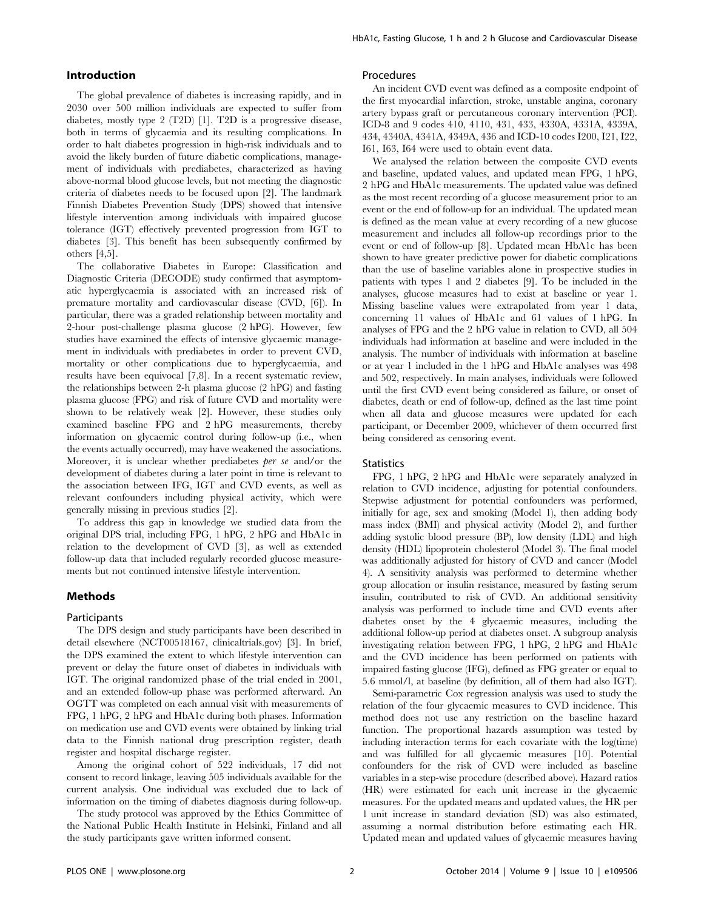# Introduction

The global prevalence of diabetes is increasing rapidly, and in 2030 over 500 million individuals are expected to suffer from diabetes, mostly type 2 (T2D) [1]. T2D is a progressive disease, both in terms of glycaemia and its resulting complications. In order to halt diabetes progression in high-risk individuals and to avoid the likely burden of future diabetic complications, management of individuals with prediabetes, characterized as having above-normal blood glucose levels, but not meeting the diagnostic criteria of diabetes needs to be focused upon [2]. The landmark Finnish Diabetes Prevention Study (DPS) showed that intensive lifestyle intervention among individuals with impaired glucose tolerance (IGT) effectively prevented progression from IGT to diabetes [3]. This benefit has been subsequently confirmed by others [4,5].

The collaborative Diabetes in Europe: Classification and Diagnostic Criteria (DECODE) study confirmed that asymptomatic hyperglycaemia is associated with an increased risk of premature mortality and cardiovascular disease (CVD, [6]). In particular, there was a graded relationship between mortality and 2-hour post-challenge plasma glucose (2 hPG). However, few studies have examined the effects of intensive glycaemic management in individuals with prediabetes in order to prevent CVD, mortality or other complications due to hyperglycaemia, and results have been equivocal [7,8]. In a recent systematic review, the relationships between 2-h plasma glucose (2 hPG) and fasting plasma glucose (FPG) and risk of future CVD and mortality were shown to be relatively weak [2]. However, these studies only examined baseline FPG and 2 hPG measurements, thereby information on glycaemic control during follow-up (i.e., when the events actually occurred), may have weakened the associations. Moreover, it is unclear whether prediabetes *ber se* and/or the development of diabetes during a later point in time is relevant to the association between IFG, IGT and CVD events, as well as relevant confounders including physical activity, which were generally missing in previous studies [2].

To address this gap in knowledge we studied data from the original DPS trial, including FPG, 1 hPG, 2 hPG and HbA1c in relation to the development of CVD [3], as well as extended follow-up data that included regularly recorded glucose measurements but not continued intensive lifestyle intervention.

## Methods

#### Participants

The DPS design and study participants have been described in detail elsewhere (NCT00518167, clinicaltrials.gov) [3]. In brief, the DPS examined the extent to which lifestyle intervention can prevent or delay the future onset of diabetes in individuals with IGT. The original randomized phase of the trial ended in 2001, and an extended follow-up phase was performed afterward. An OGTT was completed on each annual visit with measurements of FPG, 1 hPG, 2 hPG and HbA1c during both phases. Information on medication use and CVD events were obtained by linking trial data to the Finnish national drug prescription register, death register and hospital discharge register.

Among the original cohort of 522 individuals, 17 did not consent to record linkage, leaving 505 individuals available for the current analysis. One individual was excluded due to lack of information on the timing of diabetes diagnosis during follow-up.

The study protocol was approved by the Ethics Committee of the National Public Health Institute in Helsinki, Finland and all the study participants gave written informed consent.

## Procedures

An incident CVD event was defined as a composite endpoint of the first myocardial infarction, stroke, unstable angina, coronary artery bypass graft or percutaneous coronary intervention (PCI). ICD-8 and 9 codes 410, 4110, 431, 433, 4330A, 4331A, 4339A, 434, 4340A, 4341A, 4349A, 436 and ICD-10 codes I200, I21, I22, I61, I63, I64 were used to obtain event data.

We analysed the relation between the composite CVD events and baseline, updated values, and updated mean FPG, 1 hPG, 2 hPG and HbA1c measurements. The updated value was defined as the most recent recording of a glucose measurement prior to an event or the end of follow-up for an individual. The updated mean is defined as the mean value at every recording of a new glucose measurement and includes all follow-up recordings prior to the event or end of follow-up [8]. Updated mean HbA1c has been shown to have greater predictive power for diabetic complications than the use of baseline variables alone in prospective studies in patients with types 1 and 2 diabetes [9]. To be included in the analyses, glucose measures had to exist at baseline or year 1. Missing baseline values were extrapolated from year 1 data, concerning 11 values of HbA1c and 61 values of 1 hPG. In analyses of FPG and the 2 hPG value in relation to CVD, all 504 individuals had information at baseline and were included in the analysis. The number of individuals with information at baseline or at year 1 included in the 1 hPG and HbA1c analyses was 498 and 502, respectively. In main analyses, individuals were followed until the first CVD event being considered as failure, or onset of diabetes, death or end of follow-up, defined as the last time point when all data and glucose measures were updated for each participant, or December 2009, whichever of them occurred first being considered as censoring event.

#### **Statistics**

FPG, 1 hPG, 2 hPG and HbA1c were separately analyzed in relation to CVD incidence, adjusting for potential confounders. Stepwise adjustment for potential confounders was performed. initially for age, sex and smoking (Model 1), then adding body mass index (BMI) and physical activity (Model 2), and further adding systolic blood pressure (BP), low density (LDL) and high density (HDL) lipoprotein cholesterol (Model 3). The final model was additionally adjusted for history of CVD and cancer (Model 4). A sensitivity analysis was performed to determine whether group allocation or insulin resistance, measured by fasting serum insulin, contributed to risk of CVD. An additional sensitivity analysis was performed to include time and CVD events after diabetes onset by the 4 glycaemic measures, including the additional follow-up period at diabetes onset. A subgroup analysis investigating relation between FPG, 1 hPG, 2 hPG and HbA1c and the CVD incidence has been performed on patients with impaired fasting glucose (IFG), defined as FPG greater or equal to 5.6 mmol/l, at baseline (by definition, all of them had also IGT).

Semi-parametric Cox regression analysis was used to study the relation of the four glycaemic measures to CVD incidence. This method does not use any restriction on the baseline hazard function. The proportional hazards assumption was tested by including interaction terms for each covariate with the log(time) and was fulfilled for all glycaemic measures [10]. Potential confounders for the risk of CVD were included as baseline variables in a step-wise procedure (described above). Hazard ratios (HR) were estimated for each unit increase in the glycaemic measures. For the updated means and updated values, the HR per 1 unit increase in standard deviation (SD) was also estimated, assuming a normal distribution before estimating each HR. Updated mean and updated values of glycaemic measures having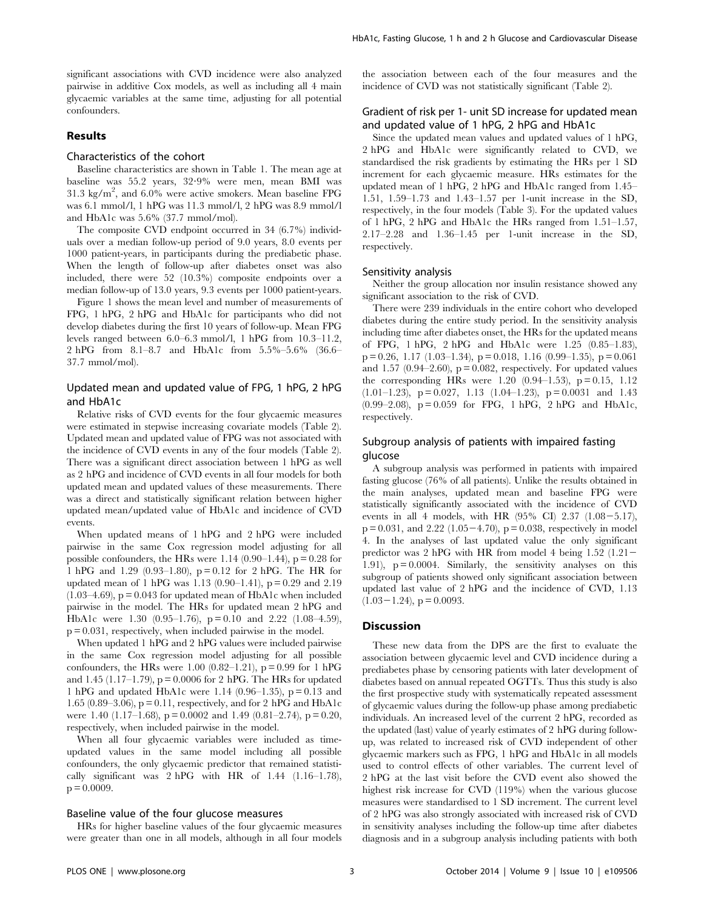significant associations with CVD incidence were also analyzed pairwise in additive Cox models, as well as including all 4 main glycaemic variables at the same time, adjusting for all potential confounders.

# Results

# Characteristics of the cohort

Baseline characteristics are shown in Table 1. The mean age at baseline was 55.2 years, 32?9% were men, mean BMI was  $31.3 \text{ kg/m}^2$ , and  $6.0\%$  were active smokers. Mean baseline FPG was 6.1 mmol/l, 1 hPG was 11.3 mmol/l, 2 hPG was 8.9 mmol/l and HbA1c was 5.6% (37.7 mmol/mol).

The composite CVD endpoint occurred in 34 (6.7%) individuals over a median follow-up period of 9.0 years, 8.0 events per 1000 patient-years, in participants during the prediabetic phase. When the length of follow-up after diabetes onset was also included, there were 52 (10.3%) composite endpoints over a median follow-up of 13.0 years, 9.3 events per 1000 patient-years.

Figure 1 shows the mean level and number of measurements of FPG, 1 hPG, 2 hPG and HbA1c for participants who did not develop diabetes during the first 10 years of follow-up. Mean FPG levels ranged between 6.0–6.3 mmol/l, 1 hPG from 10.3–11.2, 2 hPG from 8.1–8.7 and HbA1c from 5.5%–5.6% (36.6– 37.7 mmol/mol).

# Updated mean and updated value of FPG, 1 hPG, 2 hPG and HbA1c

Relative risks of CVD events for the four glycaemic measures were estimated in stepwise increasing covariate models (Table 2). Updated mean and updated value of FPG was not associated with the incidence of CVD events in any of the four models (Table 2). There was a significant direct association between 1 hPG as well as 2 hPG and incidence of CVD events in all four models for both updated mean and updated values of these measurements. There was a direct and statistically significant relation between higher updated mean/updated value of HbA1c and incidence of CVD events.

When updated means of 1 hPG and 2 hPG were included pairwise in the same Cox regression model adjusting for all possible confounders, the HRs were 1.14  $(0.90-1.44)$ , p = 0.28 for 1 hPG and 1.29 (0.93–1.80), p = 0.12 for 2 hPG. The HR for updated mean of 1 hPG was 1.13 (0.90–1.41), p = 0.29 and 2.19  $(1.03–4.69)$ ,  $p = 0.043$  for updated mean of HbA1c when included pairwise in the model. The HRs for updated mean 2 hPG and HbA1c were 1.30 (0.95–1.76), p = 0.10 and 2.22 (1.08–4.59), p = 0.031, respectively, when included pairwise in the model.

When updated 1 hPG and 2 hPG values were included pairwise in the same Cox regression model adjusting for all possible confounders, the HRs were 1.00  $(0.82-1.21)$ , p = 0.99 for 1 hPG and 1.45 (1.17–1.79),  $p = 0.0006$  for 2 hPG. The HRs for updated 1 hPG and updated HbA1c were 1.14 (0.96–1.35),  $p = 0.13$  and 1.65 (0.89–3.06),  $p = 0.11$ , respectively, and for 2 hPG and HbA1c were 1.40 (1.17–1.68),  $p = 0.0002$  and 1.49 (0.81–2.74),  $p = 0.20$ , respectively, when included pairwise in the model.

When all four glycaemic variables were included as timeupdated values in the same model including all possible confounders, the only glycaemic predictor that remained statistically significant was  $2 hPG$  with HR of 1.44 (1.16–1.78),  $p = 0.0009$ .

## Baseline value of the four glucose measures

HRs for higher baseline values of the four glycaemic measures were greater than one in all models, although in all four models the association between each of the four measures and the incidence of CVD was not statistically significant (Table 2).

# Gradient of risk per 1- unit SD increase for updated mean and updated value of 1 hPG, 2 hPG and HbA1c

Since the updated mean values and updated values of 1 hPG, 2 hPG and HbA1c were significantly related to CVD, we standardised the risk gradients by estimating the HRs per 1 SD increment for each glycaemic measure. HRs estimates for the updated mean of 1 hPG, 2 hPG and HbA1c ranged from 1.45– 1.51, 1.59–1.73 and 1.43–1.57 per 1-unit increase in the SD, respectively, in the four models (Table 3). For the updated values of 1 hPG, 2 hPG and HbA1c the HRs ranged from 1.51–1.57, 2.17–2.28 and 1.36–1.45 per 1-unit increase in the SD, respectively.

### Sensitivity analysis

Neither the group allocation nor insulin resistance showed any significant association to the risk of CVD.

There were 239 individuals in the entire cohort who developed diabetes during the entire study period. In the sensitivity analysis including time after diabetes onset, the HRs for the updated means of FPG, 1 hPG, 2 hPG and HbA1c were 1.25 (0.85–1.83),  $p = 0.26, 1.17 (1.03-1.34), p = 0.018, 1.16 (0.99-1.35), p = 0.061$ and 1.57 (0.94–2.60),  $p = 0.082$ , respectively. For updated values the corresponding HRs were 1.20  $(0.94-1.53)$ ,  $p = 0.15$ , 1.12  $(1.01-1.23)$ ,  $p = 0.027$ , 1.13  $(1.04-1.23)$ ,  $p = 0.0031$  and 1.43  $(0.99-2.08)$ ,  $p = 0.059$  for FPG, 1 hPG, 2 hPG and HbA1c, respectively.

# Subgroup analysis of patients with impaired fasting glucose

A subgroup analysis was performed in patients with impaired fasting glucose (76% of all patients). Unlike the results obtained in the main analyses, updated mean and baseline FPG were statistically significantly associated with the incidence of CVD events in all 4 models, with HR  $(95\% \text{ CI}) 2.37 (1.08-5.17)$ ,  $p = 0.031$ , and  $2.22$  (1.05-4.70),  $p = 0.038$ , respectively in model 4. In the analyses of last updated value the only significant predictor was 2 hPG with HR from model 4 being  $1.52$  (1.21-1.91),  $p = 0.0004$ . Similarly, the sensitivity analyses on this subgroup of patients showed only significant association between updated last value of 2 hPG and the incidence of CVD, 1.13  $(1.03-1.24)$ , p = 0.0093.

## **Discussion**

These new data from the DPS are the first to evaluate the association between glycaemic level and CVD incidence during a prediabetes phase by censoring patients with later development of diabetes based on annual repeated OGTTs. Thus this study is also the first prospective study with systematically repeated assessment of glycaemic values during the follow-up phase among prediabetic individuals. An increased level of the current 2 hPG, recorded as the updated (last) value of yearly estimates of 2 hPG during followup, was related to increased risk of CVD independent of other glycaemic markers such as FPG, 1 hPG and HbA1c in all models used to control effects of other variables. The current level of 2 hPG at the last visit before the CVD event also showed the highest risk increase for CVD (119%) when the various glucose measures were standardised to 1 SD increment. The current level of 2 hPG was also strongly associated with increased risk of CVD in sensitivity analyses including the follow-up time after diabetes diagnosis and in a subgroup analysis including patients with both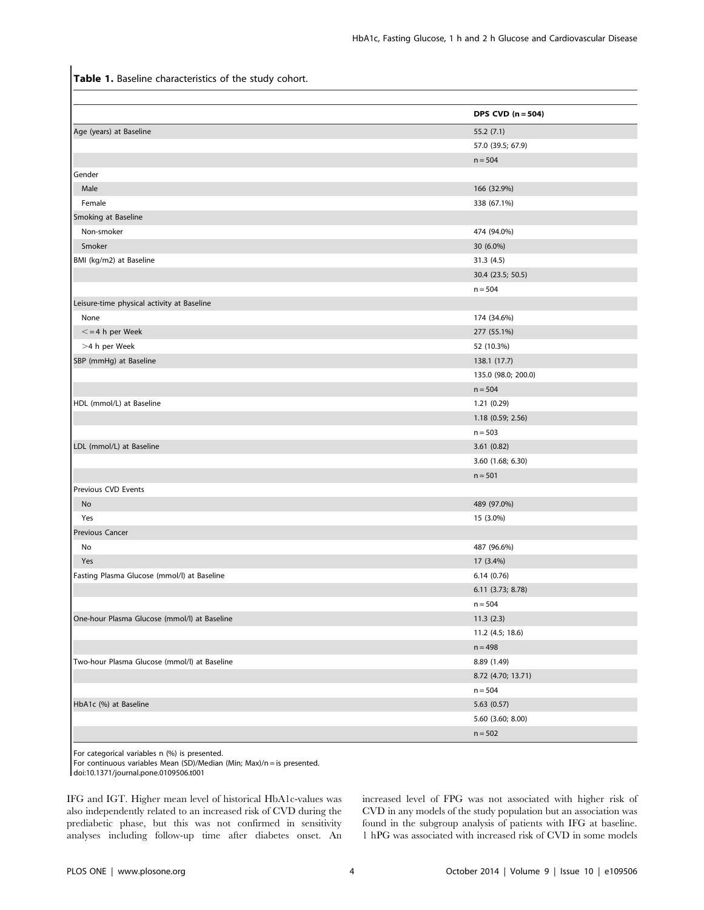Table 1. Baseline characteristics of the study cohort.

|                                              | DPS CVD $(n = 504)$ |
|----------------------------------------------|---------------------|
| Age (years) at Baseline                      | 55.2 (7.1)          |
|                                              | 57.0 (39.5; 67.9)   |
|                                              | $n = 504$           |
| Gender                                       |                     |
| Male                                         | 166 (32.9%)         |
| Female                                       | 338 (67.1%)         |
| Smoking at Baseline                          |                     |
| Non-smoker                                   | 474 (94.0%)         |
| Smoker                                       | 30 (6.0%)           |
| BMI (kg/m2) at Baseline                      | 31.3 (4.5)          |
|                                              | 30.4 (23.5; 50.5)   |
|                                              | $n = 504$           |
| Leisure-time physical activity at Baseline   |                     |
| None                                         | 174 (34.6%)         |
| $\leq$ = 4 h per Week                        | 277 (55.1%)         |
| >4 h per Week                                | 52 (10.3%)          |
| SBP (mmHg) at Baseline                       | 138.1 (17.7)        |
|                                              | 135.0 (98.0; 200.0) |
|                                              | $n = 504$           |
| HDL (mmol/L) at Baseline                     | 1.21(0.29)          |
|                                              | 1.18 (0.59; 2.56)   |
|                                              | $n = 503$           |
| LDL (mmol/L) at Baseline                     | 3.61(0.82)          |
|                                              | 3.60 (1.68; 6.30)   |
|                                              | $n = 501$           |
| Previous CVD Events                          |                     |
| No                                           | 489 (97.0%)         |
| Yes                                          | 15 (3.0%)           |
| Previous Cancer                              |                     |
| No                                           | 487 (96.6%)         |
| Yes                                          | 17 (3.4%)           |
| Fasting Plasma Glucose (mmol/l) at Baseline  | 6.14(0.76)          |
|                                              | 6.11 (3.73; 8.78)   |
|                                              | $n = 504$           |
| One-hour Plasma Glucose (mmol/l) at Baseline | 11.3(2.3)           |
|                                              | 11.2 (4.5; 18.6)    |
|                                              | $n = 498$           |
| Two-hour Plasma Glucose (mmol/l) at Baseline | 8.89 (1.49)         |
|                                              | 8.72 (4.70; 13.71)  |
|                                              | $n = 504$           |
| HbA1c (%) at Baseline                        | 5.63(0.57)          |
|                                              | 5.60 (3.60; 8.00)   |
|                                              | $n = 502$           |

For categorical variables n (%) is presented.

For continuous variables Mean (SD)/Median (Min; Max)/n = is presented.

doi:10.1371/journal.pone.0109506.t001

IFG and IGT. Higher mean level of historical HbA1c-values was also independently related to an increased risk of CVD during the prediabetic phase, but this was not confirmed in sensitivity analyses including follow-up time after diabetes onset. An increased level of FPG was not associated with higher risk of CVD in any models of the study population but an association was found in the subgroup analysis of patients with IFG at baseline. 1 hPG was associated with increased risk of CVD in some models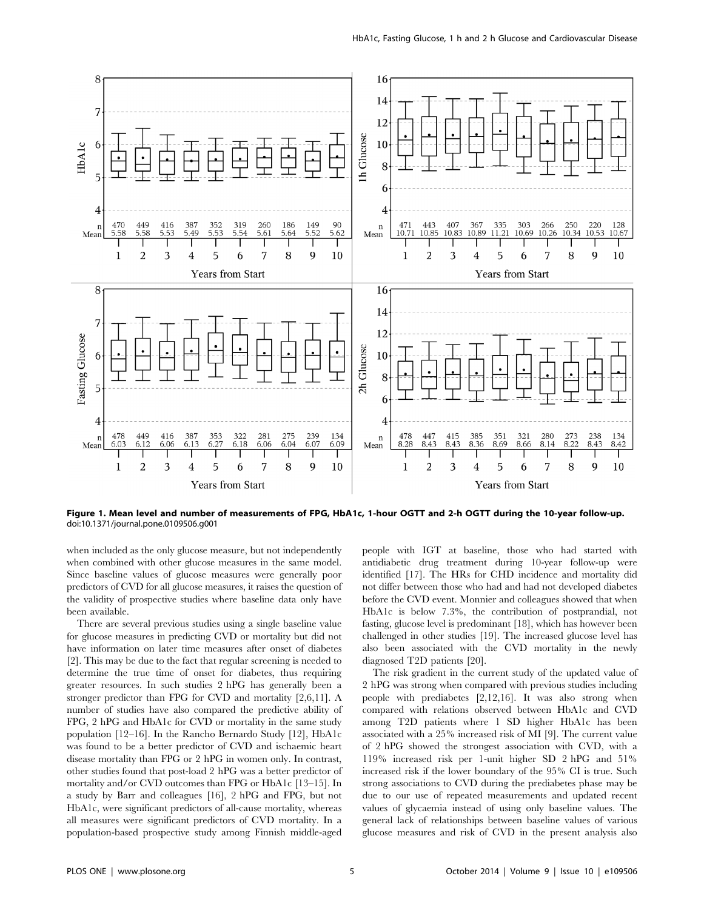

Figure 1. Mean level and number of measurements of FPG, HbA1c, 1-hour OGTT and 2-h OGTT during the 10-year follow-up. doi:10.1371/journal.pone.0109506.g001

when included as the only glucose measure, but not independently when combined with other glucose measures in the same model. Since baseline values of glucose measures were generally poor predictors of CVD for all glucose measures, it raises the question of the validity of prospective studies where baseline data only have been available.

There are several previous studies using a single baseline value for glucose measures in predicting CVD or mortality but did not have information on later time measures after onset of diabetes [2]. This may be due to the fact that regular screening is needed to determine the true time of onset for diabetes, thus requiring greater resources. In such studies 2 hPG has generally been a stronger predictor than FPG for CVD and mortality [2,6,11]. A number of studies have also compared the predictive ability of FPG, 2 hPG and HbA1c for CVD or mortality in the same study population [12–16]. In the Rancho Bernardo Study [12], HbA1c was found to be a better predictor of CVD and ischaemic heart disease mortality than FPG or 2 hPG in women only. In contrast, other studies found that post-load 2 hPG was a better predictor of mortality and/or CVD outcomes than FPG or HbA1c [13–15]. In a study by Barr and colleagues [16], 2 hPG and FPG, but not HbA1c, were significant predictors of all-cause mortality, whereas all measures were significant predictors of CVD mortality. In a population-based prospective study among Finnish middle-aged people with IGT at baseline, those who had started with antidiabetic drug treatment during 10-year follow-up were identified [17]. The HRs for CHD incidence and mortality did not differ between those who had and had not developed diabetes before the CVD event. Monnier and colleagues showed that when HbA1c is below 7.3%, the contribution of postprandial, not fasting, glucose level is predominant [18], which has however been challenged in other studies [19]. The increased glucose level has also been associated with the CVD mortality in the newly diagnosed T2D patients [20].

The risk gradient in the current study of the updated value of 2 hPG was strong when compared with previous studies including people with prediabetes [2,12,16]. It was also strong when compared with relations observed between HbA1c and CVD among T2D patients where 1 SD higher HbA1c has been associated with a 25% increased risk of MI [9]. The current value of 2 hPG showed the strongest association with CVD, with a 119% increased risk per 1-unit higher SD 2 hPG and 51% increased risk if the lower boundary of the 95% CI is true. Such strong associations to CVD during the prediabetes phase may be due to our use of repeated measurements and updated recent values of glycaemia instead of using only baseline values. The general lack of relationships between baseline values of various glucose measures and risk of CVD in the present analysis also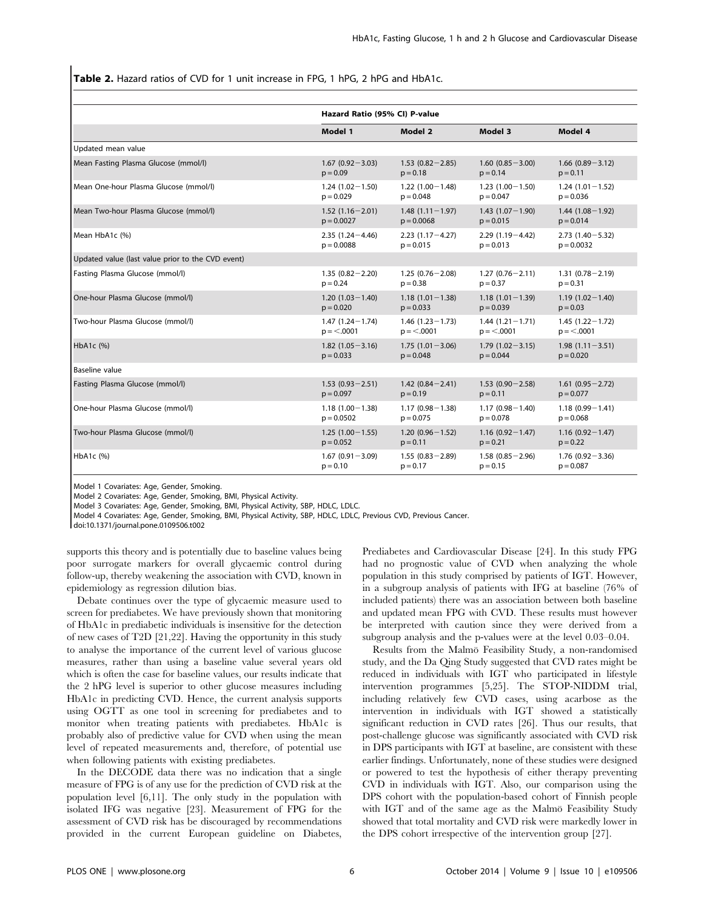Table 2. Hazard ratios of CVD for 1 unit increase in FPG, 1 hPG, 2 hPG and HbA1c.

|                                                   | Hazard Ratio (95% CI) P-value |                     |                     |                     |  |
|---------------------------------------------------|-------------------------------|---------------------|---------------------|---------------------|--|
|                                                   | Model 1                       | Model 2             | Model 3             | Model 4             |  |
| Updated mean value                                |                               |                     |                     |                     |  |
| Mean Fasting Plasma Glucose (mmol/l)              | $1.67(0.92 - 3.03)$           | $1.53(0.82 - 2.85)$ | $1.60(0.85 - 3.00)$ | $1.66(0.89 - 3.12)$ |  |
|                                                   | $p = 0.09$                    | $p = 0.18$          | $p = 0.14$          | $p = 0.11$          |  |
| Mean One-hour Plasma Glucose (mmol/l)             | $1.24(1.02 - 1.50)$           | $1.22(1.00 - 1.48)$ | $1.23(1.00 - 1.50)$ | $1.24(1.01 - 1.52)$ |  |
|                                                   | $p = 0.029$                   | $p = 0.048$         | $p = 0.047$         | $p = 0.036$         |  |
| Mean Two-hour Plasma Glucose (mmol/l)             | $1.52(1.16 - 2.01)$           | $1.48(1.11 - 1.97)$ | $1.43(1.07-1.90)$   | $1.44(1.08-1.92)$   |  |
|                                                   | $p = 0.0027$                  | $p = 0.0068$        | $p = 0.015$         | $p = 0.014$         |  |
| Mean HbA1c (%)                                    | $2.35(1.24 - 4.46)$           | $2.23(1.17 - 4.27)$ | $2.29(1.19 - 4.42)$ | $2.73(1.40 - 5.32)$ |  |
|                                                   | $p = 0.0088$                  | $p = 0.015$         | $p = 0.013$         | $p = 0.0032$        |  |
| Updated value (last value prior to the CVD event) |                               |                     |                     |                     |  |
| Fasting Plasma Glucose (mmol/l)                   | $1.35(0.82 - 2.20)$           | $1.25(0.76 - 2.08)$ | $1.27(0.76 - 2.11)$ | $1.31(0.78 - 2.19)$ |  |
|                                                   | $p = 0.24$                    | $p = 0.38$          | $p = 0.37$          | $p = 0.31$          |  |
| One-hour Plasma Glucose (mmol/l)                  | $1.20(1.03 - 1.40)$           | $1.18(1.01 - 1.38)$ | $1.18(1.01 - 1.39)$ | $1.19(1.02 - 1.40)$ |  |
|                                                   | $p = 0.020$                   | $p = 0.033$         | $p = 0.039$         | $p = 0.03$          |  |
| Two-hour Plasma Glucose (mmol/l)                  | $1.47(1.24 - 1.74)$           | $1.46(1.23 - 1.73)$ | $1.44(1.21 - 1.71)$ | $1.45(1.22 - 1.72)$ |  |
|                                                   | $p = 0.0001$                  | $p = 0.0001$        | $p = 0.0001$        | $p = 0.0001$        |  |
| HbA1c (%)                                         | $1.82(1.05 - 3.16)$           | $1.75(1.01 - 3.06)$ | $1.79(1.02 - 3.15)$ | $1.98(1.11 - 3.51)$ |  |
|                                                   | $p = 0.033$                   | $p = 0.048$         | $p = 0.044$         | $p = 0.020$         |  |
| Baseline value                                    |                               |                     |                     |                     |  |
| Fasting Plasma Glucose (mmol/l)                   | $1.53(0.93 - 2.51)$           | $1.42(0.84 - 2.41)$ | $1.53(0.90 - 2.58)$ | $1.61(0.95 - 2.72)$ |  |
|                                                   | $p = 0.097$                   | $p = 0.19$          | $p = 0.11$          | $p = 0.077$         |  |
| One-hour Plasma Glucose (mmol/l)                  | $1.18(1.00 - 1.38)$           | $1.17(0.98 - 1.38)$ | $1.17(0.98 - 1.40)$ | $1.18(0.99 - 1.41)$ |  |
|                                                   | $p = 0.0502$                  | $p = 0.075$         | $p = 0.078$         | $p = 0.068$         |  |
| Two-hour Plasma Glucose (mmol/l)                  | $1.25(1.00-1.55)$             | $1.20(0.96 - 1.52)$ | $1.16(0.92 - 1.47)$ | $1.16(0.92 - 1.47)$ |  |
|                                                   | $p = 0.052$                   | $p = 0.11$          | $p = 0.21$          | $p = 0.22$          |  |
| HbA1c (%)                                         | $1.67(0.91 - 3.09)$           | $1.55(0.83 - 2.89)$ | $1.58(0.85 - 2.96)$ | $1.76(0.92 - 3.36)$ |  |
|                                                   | $p = 0.10$                    | $p = 0.17$          | $p = 0.15$          | $p = 0.087$         |  |

Model 1 Covariates: Age, Gender, Smoking.

Model 2 Covariates: Age, Gender, Smoking, BMI, Physical Activity.

Model 3 Covariates: Age, Gender, Smoking, BMI, Physical Activity, SBP, HDLC, LDLC.

Model 4 Covariates: Age, Gender, Smoking, BMI, Physical Activity, SBP, HDLC, LDLC, Previous CVD, Previous Cancer.

doi:10.1371/journal.pone.0109506.t002

supports this theory and is potentially due to baseline values being poor surrogate markers for overall glycaemic control during follow-up, thereby weakening the association with CVD, known in epidemiology as regression dilution bias.

Debate continues over the type of glycaemic measure used to screen for prediabetes. We have previously shown that monitoring of HbA1c in prediabetic individuals is insensitive for the detection of new cases of T2D [21,22]. Having the opportunity in this study to analyse the importance of the current level of various glucose measures, rather than using a baseline value several years old which is often the case for baseline values, our results indicate that the 2 hPG level is superior to other glucose measures including HbA1c in predicting CVD. Hence, the current analysis supports using OGTT as one tool in screening for prediabetes and to monitor when treating patients with prediabetes. HbA1c is probably also of predictive value for CVD when using the mean level of repeated measurements and, therefore, of potential use when following patients with existing prediabetes.

In the DECODE data there was no indication that a single measure of FPG is of any use for the prediction of CVD risk at the population level [6,11]. The only study in the population with isolated IFG was negative [23]. Measurement of FPG for the assessment of CVD risk has be discouraged by recommendations provided in the current European guideline on Diabetes, Prediabetes and Cardiovascular Disease [24]. In this study FPG had no prognostic value of CVD when analyzing the whole population in this study comprised by patients of IGT. However, in a subgroup analysis of patients with IFG at baseline (76% of included patients) there was an association between both baseline and updated mean FPG with CVD. These results must however be interpreted with caution since they were derived from a subgroup analysis and the p-values were at the level 0.03–0.04.

Results from the Malmo¨ Feasibility Study, a non-randomised study, and the Da Qing Study suggested that CVD rates might be reduced in individuals with IGT who participated in lifestyle intervention programmes [5,25]. The STOP-NIDDM trial, including relatively few CVD cases, using acarbose as the intervention in individuals with IGT showed a statistically significant reduction in CVD rates [26]. Thus our results, that post-challenge glucose was significantly associated with CVD risk in DPS participants with IGT at baseline, are consistent with these earlier findings. Unfortunately, none of these studies were designed or powered to test the hypothesis of either therapy preventing CVD in individuals with IGT. Also, our comparison using the DPS cohort with the population-based cohort of Finnish people with IGT and of the same age as the Malmö Feasibility Study showed that total mortality and CVD risk were markedly lower in the DPS cohort irrespective of the intervention group [27].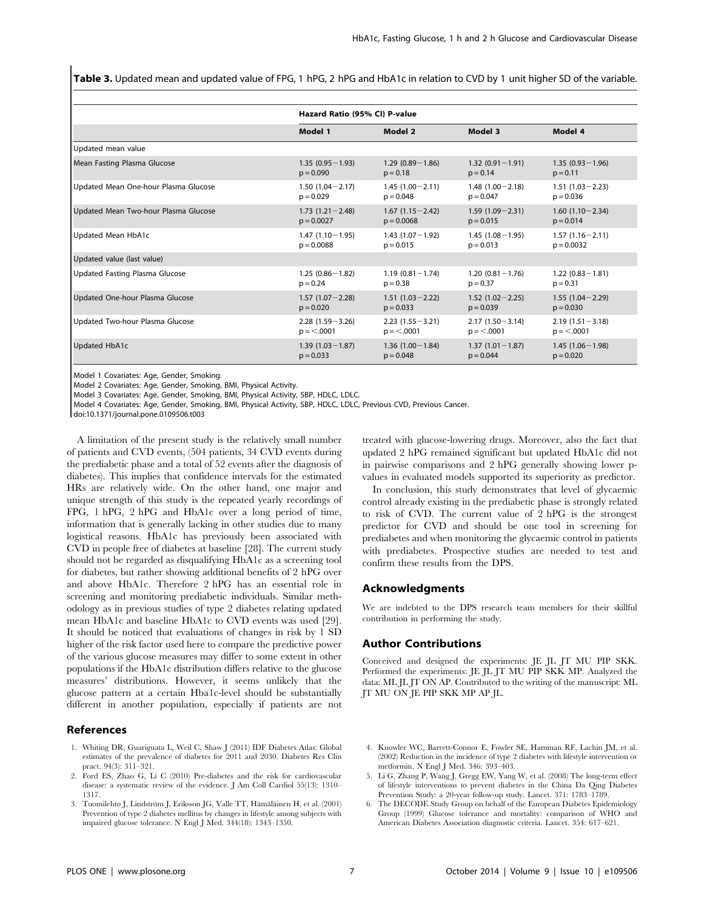Table 3. Updated mean and updated value of FPG, 1 hPG, 2 hPG and HbA1c in relation to CVD by 1 unit higher SD of the variable.

|                                      |                     | Hazard Ratio (95% CI) P-value |                     |                     |  |  |  |
|--------------------------------------|---------------------|-------------------------------|---------------------|---------------------|--|--|--|
|                                      | Model 1             | Model 2                       | Model 3             | Model 4             |  |  |  |
| Updated mean value                   |                     |                               |                     |                     |  |  |  |
| Mean Fasting Plasma Glucose          | $1.35(0.95 - 1.93)$ | $1.29(0.89 - 1.86)$           | $1.32(0.91 - 1.91)$ | $1.35(0.93 - 1.96)$ |  |  |  |
|                                      | $p = 0.090$         | $p = 0.18$                    | $p = 0.14$          | $p = 0.11$          |  |  |  |
| Updated Mean One-hour Plasma Glucose | $1.50(1.04 - 2.17)$ | $1.45(1.00 - 2.11)$           | $1.48(1.00 - 2.18)$ | $1.51(1.03 - 2.23)$ |  |  |  |
|                                      | $p = 0.029$         | $p = 0.048$                   | $p = 0.047$         | $p = 0.036$         |  |  |  |
| Updated Mean Two-hour Plasma Glucose | $1.73(1.21 - 2.48)$ | $1.67(1.15 - 2.42)$           | $1.59(1.09 - 2.31)$ | $1.60(1.10-2.34)$   |  |  |  |
|                                      | $p = 0.0027$        | $p = 0.0068$                  | $p = 0.015$         | $p = 0.014$         |  |  |  |
| Updated Mean HbA1c                   | $1.47(1.10-1.95)$   | $1.43(1.07-1.92)$             | $1.45(1.08 - 1.95)$ | $1.57(1.16 - 2.11)$ |  |  |  |
|                                      | $p = 0.0088$        | $p = 0.015$                   | $p = 0.013$         | $p = 0.0032$        |  |  |  |
| Updated value (last value)           |                     |                               |                     |                     |  |  |  |
| Updated Fasting Plasma Glucose       | $1.25(0.86 - 1.82)$ | $1.19(0.81 - 1.74)$           | $1.20(0.81 - 1.76)$ | $1.22(0.83 - 1.81)$ |  |  |  |
|                                      | $p = 0.24$          | $p = 0.38$                    | $p = 0.37$          | $p = 0.31$          |  |  |  |
| Updated One-hour Plasma Glucose      | $1.57(1.07 - 2.28)$ | $1.51(1.03 - 2.22)$           | $1.52(1.02 - 2.25)$ | $1.55(1.04 - 2.29)$ |  |  |  |
|                                      | $p = 0.020$         | $p = 0.033$                   | $p = 0.039$         | $p = 0.030$         |  |  |  |
| Updated Two-hour Plasma Glucose      | $2.28(1.59 - 3.26)$ | $2.23(1.55 - 3.21)$           | $2.17(1.50 - 3.14)$ | $2.19(1.51 - 3.18)$ |  |  |  |
|                                      | $p = 0.0001$        | $p = 0.0001$                  | $p = 0.0001$        | $p = 0.0001$        |  |  |  |
| <b>Updated HbA1c</b>                 | $1.39(1.03 - 1.87)$ | $1.36(1.00 - 1.84)$           | $1.37(1.01 - 1.87)$ | $1.45(1.06 - 1.98)$ |  |  |  |
|                                      | $p = 0.033$         | $p = 0.048$                   | $p = 0.044$         | $p = 0.020$         |  |  |  |

Model 1 Covariates: Age, Gender, Smoking.

Model 2 Covariates: Age, Gender, Smoking, BMI, Physical Activity.

Model 3 Covariates: Age, Gender, Smoking, BMI, Physical Activity, SBP, HDLC, LDLC.

Model 4 Covariates: Age, Gender, Smoking, BMI, Physical Activity, SBP, HDLC, LDLC, Previous CVD, Previous Cancer.

doi:10.1371/journal.pone.0109506.t003

A limitation of the present study is the relatively small number of patients and CVD events, (504 patients, 34 CVD events during the prediabetic phase and a total of 52 events after the diagnosis of diabetes). This implies that confidence intervals for the estimated HRs are relatively wide. On the other hand, one major and unique strength of this study is the repeated yearly recordings of FPG, 1 hPG, 2 hPG and HbA1c over a long period of time, information that is generally lacking in other studies due to many logistical reasons. HbA1c has previously been associated with CVD in people free of diabetes at baseline [28]. The current study should not be regarded as disqualifying HbA1c as a screening tool for diabetes, but rather showing additional benefits of 2 hPG over and above HbA1c. Therefore 2 hPG has an essential role in screening and monitoring prediabetic individuals. Similar methodology as in previous studies of type 2 diabetes relating updated mean HbA1c and baseline HbA1c to CVD events was used [29]. It should be noticed that evaluations of changes in risk by 1 SD higher of the risk factor used here to compare the predictive power of the various glucose measures may differ to some extent in other populations if the HbA1c distribution differs relative to the glucose measures' distributions. However, it seems unlikely that the glucose pattern at a certain Hba1c-level should be substantially different in another population, especially if patients are not

### References

- 1. Whiting DR, Guariguata L, Weil C, Shaw J (2011) IDF Diabetes Atlas: Global estimates of the prevalence of diabetes for 2011 and 2030. Diabetes Res Clin pract. 94(3): 311–321.
- 2. Ford ES, Zhao G, Li C (2010) Pre-diabetes and the risk for cardiovascular disease: a systematic review of the evidence. J Am Coll Cardiol 55(13): 1310– 1317.
- 3. Tuomilehto J, Lindström J, Eriksson JG, Valle TT, Hämäläinen H, et al. (2001) Prevention of type 2 diabetes mellitus by changes in lifestyle among subjects with impaired glucose tolerance. N Engl J Med. 344(18): 1343–1350.

treated with glucose-lowering drugs. Moreover, also the fact that updated 2 hPG remained significant but updated HbA1c did not in pairwise comparisons and 2 hPG generally showing lower pvalues in evaluated models supported its superiority as predictor.

In conclusion, this study demonstrates that level of glycaemic control already existing in the prediabetic phase is strongly related to risk of CVD. The current value of 2 hPG is the strongest predictor for CVD and should be one tool in screening for prediabetes and when monitoring the glycaemic control in patients with prediabetes. Prospective studies are needed to test and confirm these results from the DPS.

## Acknowledgments

We are indebted to the DPS research team members for their skillful contribution in performing the study.

## Author Contributions

Conceived and designed the experiments: JE JL JT MU PIP SKK. Performed the experiments: JE JL JT MU PIP SKK MP. Analyzed the data: ML JL JT ON AP. Contributed to the writing of the manuscript: ML JT MU ON JE PIP SKK MP AP JL.

- 4. Knowler WC, Barrett-Connor E, Fowler SE, Hamman RF, Lachin JM, et al. (2002) Reduction in the incidence of type 2 diabetes with lifestyle intervention or metformin. N Engl J Med. 346: 393–403.
- 5. Li G, Zhang P, Wang J, Gregg EW, Yang W, et al. (2008) The long-term effect of lifestyle interventions to prevent diabetes in the China Da Qing Diabetes Prevention Study: a 20-year follow-up study. Lancet. 371: 1783–1789.
- 6. The DECODE Study Group on behalf of the European Diabetes Epidemiology Group (1999) Glucose tolerance and mortality: comparison of WHO and American Diabetes Association diagnostic criteria. Lancet. 354: 617–621.